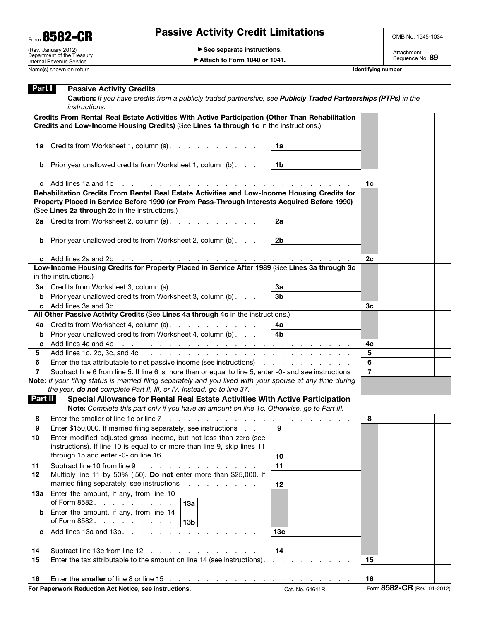| Form 8582-CR                                                                         |
|--------------------------------------------------------------------------------------|
| (Rev. January 2012)<br>Department of the Treasury<br><b>Internal Revenue Service</b> |

## Passive Activity Credit Limitations

OMB No. 1545-1034

▶ See separate instructions.

▶ Attach to Form 1040 or 1041.

Name(s) shown on return Identifying number

| rart                                                                   | <b>Passive Activity Credits</b><br>Caution: If you have credits from a publicly traded partnership, see Publicly Traded Partnerships (PTPs) in the<br><i>instructions.</i>                                                                                                                                                                             |                               |                |  |  |
|------------------------------------------------------------------------|--------------------------------------------------------------------------------------------------------------------------------------------------------------------------------------------------------------------------------------------------------------------------------------------------------------------------------------------------------|-------------------------------|----------------|--|--|
|                                                                        | Credits From Rental Real Estate Activities With Active Participation (Other Than Rehabilitation                                                                                                                                                                                                                                                        |                               |                |  |  |
|                                                                        | Credits and Low-Income Housing Credits) (See Lines 1a through 1c in the instructions.)                                                                                                                                                                                                                                                                 |                               |                |  |  |
|                                                                        |                                                                                                                                                                                                                                                                                                                                                        |                               |                |  |  |
| 1a                                                                     | Credits from Worksheet 1, column (a).                                                                                                                                                                                                                                                                                                                  | 1a                            |                |  |  |
|                                                                        |                                                                                                                                                                                                                                                                                                                                                        |                               |                |  |  |
| b                                                                      | Prior year unallowed credits from Worksheet 1, column (b)                                                                                                                                                                                                                                                                                              | 1b                            |                |  |  |
|                                                                        |                                                                                                                                                                                                                                                                                                                                                        |                               |                |  |  |
| c                                                                      | Add lines 1a and 1b<br>the contract of the contract of the contract of the contract of the contract of                                                                                                                                                                                                                                                 |                               | 1c             |  |  |
|                                                                        | Rehabilitation Credits From Rental Real Estate Activities and Low-Income Housing Credits for<br>Property Placed in Service Before 1990 (or From Pass-Through Interests Acquired Before 1990)                                                                                                                                                           |                               |                |  |  |
|                                                                        | (See Lines 2a through 2c in the instructions.)                                                                                                                                                                                                                                                                                                         |                               |                |  |  |
|                                                                        | 2a Credits from Worksheet 2, column (a).                                                                                                                                                                                                                                                                                                               | 2a                            |                |  |  |
|                                                                        |                                                                                                                                                                                                                                                                                                                                                        |                               |                |  |  |
| b                                                                      | Prior year unallowed credits from Worksheet 2, column (b)                                                                                                                                                                                                                                                                                              | 2b                            |                |  |  |
|                                                                        |                                                                                                                                                                                                                                                                                                                                                        |                               |                |  |  |
| C                                                                      | Add lines 2a and 2b<br>and the company of the company of the company of the company of the company of the company of the company of the company of the company of the company of the company of the company of the company of the company of the comp<br>Low-Income Housing Credits for Property Placed in Service After 1989 (See Lines 3a through 3c |                               | 2c             |  |  |
|                                                                        | in the instructions.)                                                                                                                                                                                                                                                                                                                                  |                               |                |  |  |
| За                                                                     | Credits from Worksheet 3, column (a).                                                                                                                                                                                                                                                                                                                  | 3a                            |                |  |  |
| b                                                                      | Prior year unallowed credits from Worksheet 3, column (b)                                                                                                                                                                                                                                                                                              | 3 <sub>b</sub>                |                |  |  |
| c                                                                      | Add lines 3a and 3b<br>and a construction of the construction of the construction of the construction of the construction of the construction of the construction of the construction of the construction of the construction of the construction of                                                                                                   |                               | 3 <sub>c</sub> |  |  |
|                                                                        | All Other Passive Activity Credits (See Lines 4a through 4c in the instructions.)                                                                                                                                                                                                                                                                      |                               |                |  |  |
| 4а                                                                     | Credits from Worksheet 4, column (a).                                                                                                                                                                                                                                                                                                                  | 4a                            |                |  |  |
| b                                                                      | Prior year unallowed credits from Worksheet 4, column (b)                                                                                                                                                                                                                                                                                              | 4b                            |                |  |  |
| C                                                                      | Add lines 4a and 4b<br><u> 1989 - Johann Johann Johann Johann Johann Johann Johann Johann Johann Johann Johann Johann Johann Johann Johann Johann Johann Johann Johann Johann Johann Johann Johann Johann Johann Johann Johann Johann Johann Johann Joh</u>                                                                                            |                               | 4с             |  |  |
| 5                                                                      |                                                                                                                                                                                                                                                                                                                                                        |                               | 5              |  |  |
| 6                                                                      | Enter the tax attributable to net passive income (see instructions)                                                                                                                                                                                                                                                                                    |                               | 6              |  |  |
| 7                                                                      | Subtract line 6 from line 5. If line 6 is more than or equal to line 5, enter -0- and see instructions                                                                                                                                                                                                                                                 |                               | $\overline{7}$ |  |  |
|                                                                        | Note: If your filing status is married filing separately and you lived with your spouse at any time during                                                                                                                                                                                                                                             |                               |                |  |  |
| the year, do not complete Part II, III, or IV. Instead, go to line 37. |                                                                                                                                                                                                                                                                                                                                                        |                               |                |  |  |
| Part II                                                                | Special Allowance for Rental Real Estate Activities With Active Participation                                                                                                                                                                                                                                                                          |                               |                |  |  |
|                                                                        | Note: Complete this part only if you have an amount on line 1c. Otherwise, go to Part III.                                                                                                                                                                                                                                                             |                               |                |  |  |
| 8                                                                      | Enter the smaller of line 1c or line 7                                                                                                                                                                                                                                                                                                                 |                               | 8              |  |  |
| 9                                                                      | Enter \$150,000. If married filing separately, see instructions                                                                                                                                                                                                                                                                                        | 9                             |                |  |  |
| 10                                                                     | Enter modified adjusted gross income, but not less than zero (see<br>instructions). If line 10 is equal to or more than line 9, skip lines 11                                                                                                                                                                                                          |                               |                |  |  |
|                                                                        | through 15 and enter -0- on line $16$                                                                                                                                                                                                                                                                                                                  | 10                            |                |  |  |
| 11                                                                     | Subtract line 10 from line 9                                                                                                                                                                                                                                                                                                                           | 11                            |                |  |  |
| 12                                                                     | Multiply line 11 by 50% (.50). Do not enter more than \$25,000. If                                                                                                                                                                                                                                                                                     |                               |                |  |  |
|                                                                        | married filing separately, see instructions                                                                                                                                                                                                                                                                                                            | 12                            |                |  |  |
|                                                                        | 13a Enter the amount, if any, from line 10                                                                                                                                                                                                                                                                                                             |                               |                |  |  |
|                                                                        | of Form 8582.<br>13а                                                                                                                                                                                                                                                                                                                                   |                               |                |  |  |
| b                                                                      | Enter the amount, if any, from line 14                                                                                                                                                                                                                                                                                                                 |                               |                |  |  |
|                                                                        | of Form 8582.<br>13 <sub>b</sub>                                                                                                                                                                                                                                                                                                                       |                               |                |  |  |
| C                                                                      | Add lines 13a and 13b.                                                                                                                                                                                                                                                                                                                                 | 13 <sub>c</sub>               |                |  |  |
|                                                                        |                                                                                                                                                                                                                                                                                                                                                        |                               |                |  |  |
| 14                                                                     | Subtract line 13c from line 12                                                                                                                                                                                                                                                                                                                         | 14                            |                |  |  |
| 15                                                                     | Enter the tax attributable to the amount on line 14 (see instructions).                                                                                                                                                                                                                                                                                | and a strain and a strain and | 15             |  |  |
|                                                                        |                                                                                                                                                                                                                                                                                                                                                        |                               |                |  |  |
| 16                                                                     |                                                                                                                                                                                                                                                                                                                                                        |                               | 16             |  |  |